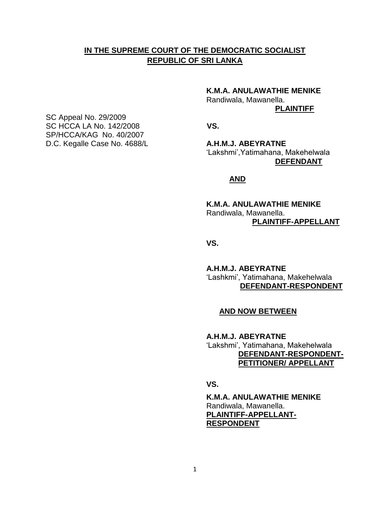## **IN THE SUPREME COURT OF THE DEMOCRATIC SOCIALIST REPUBLIC OF SRI LANKA**

**K.M.A. ANULAWATHIE MENIKE**

Randiwala, Mawanella.

**PLAINTIFF**

'Lakshmi',Yatimahana, Makehelwala **DEFENDANT**

## **AND**

**K.M.A. ANULAWATHIE MENIKE** Randiwala, Mawanella. **PLAINTIFF-APPELLANT**

**VS.**

**A.H.M.J. ABEYRATNE** 'Lashkmi', Yatimahana, Makehelwala  **DEFENDANT-RESPONDENT**

## **AND NOW BETWEEN**

**A.H.M.J. ABEYRATNE** 'Lakshmi', Yatimahana, Makehelwala  **DEFENDANT-RESPONDENT- PETITIONER/ APPELLANT**

**VS.**

**K.M.A. ANULAWATHIE MENIKE** Randiwala, Mawanella. **PLAINTIFF-APPELLANT-RESPONDENT**

SC Appeal No. 29/2009 SC HCCA LA No. 142/2008 **VS.** SP/HCCA/KAG No. 40/2007 D.C. Kegalle Case No. 4688/L **A.H.M.J. ABEYRATNE**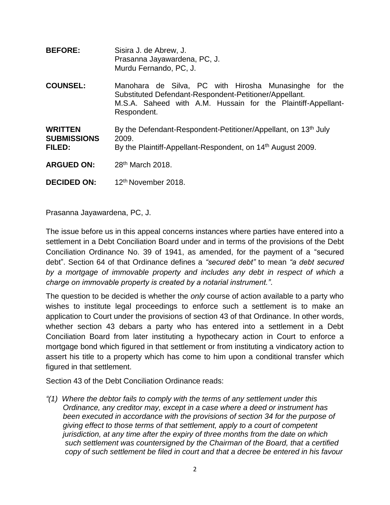| <b>BEFORE:</b>                                 | Sisira J. de Abrew, J.<br>Prasanna Jayawardena, PC, J.<br>Murdu Fernando, PC, J.                                                                                                               |
|------------------------------------------------|------------------------------------------------------------------------------------------------------------------------------------------------------------------------------------------------|
| <b>COUNSEL:</b>                                | Manohara de Silva, PC with Hirosha Munasinghe for the<br>Substituted Defendant-Respondent-Petitioner/Appellant.<br>M.S.A. Saheed with A.M. Hussain for the Plaintiff-Appellant-<br>Respondent. |
| <b>WRITTEN</b><br><b>SUBMISSIONS</b><br>FILED: | By the Defendant-Respondent-Petitioner/Appellant, on 13 <sup>th</sup> July<br>2009.<br>By the Plaintiff-Appellant-Respondent, on 14 <sup>th</sup> August 2009.                                 |
| <b>ARGUED ON:</b>                              | 28 <sup>th</sup> March 2018.                                                                                                                                                                   |
| <b>DECIDED ON:</b>                             | 12 <sup>th</sup> November 2018.                                                                                                                                                                |

Prasanna Jayawardena, PC, J.

The issue before us in this appeal concerns instances where parties have entered into a settlement in a Debt Conciliation Board under and in terms of the provisions of the Debt Conciliation Ordinance No. 39 of 1941, as amended, for the payment of a "secured debt". Section 64 of that Ordinance defines a *"secured debt"* to mean *"a debt secured by a mortgage of immovable property and includes any debt in respect of which a charge on immovable property is created by a notarial instrument."*.

The question to be decided is whether the *only* course of action available to a party who wishes to institute legal proceedings to enforce such a settlement is to make an application to Court under the provisions of section 43 of that Ordinance. In other words, whether section 43 debars a party who has entered into a settlement in a Debt Conciliation Board from later instituting a hypothecary action in Court to enforce a mortgage bond which figured in that settlement or from instituting a vindicatory action to assert his title to a property which has come to him upon a conditional transfer which figured in that settlement.

Section 43 of the Debt Conciliation Ordinance reads:

*"(1) Where the debtor fails to comply with the terms of any settlement under this Ordinance, any creditor may, except in a case where a deed or instrument has been executed in accordance with the provisions of section 34 for the purpose of giving effect to those terms of that settlement, apply to a court of competent jurisdiction, at any time after the expiry of three months from the date on which such settlement was countersigned by the Chairman of the Board, that a certified copy of such settlement be filed in court and that a decree be entered in his favour*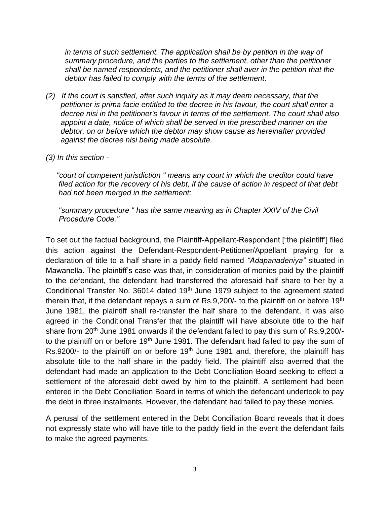*in terms of such settlement. The application shall be by petition in the way of summary procedure, and the parties to the settlement, other than the petitioner shall be named respondents, and the petitioner shall aver in the petition that the debtor has failed to comply with the terms of the settlement.*

- *(2) If the court is satisfied, after such inquiry as it may deem necessary, that the petitioner is prima facie entitled to the decree in his favour, the court shall enter a decree nisi in the petitioner's favour in terms of the settlement. The court shall also appoint a date, notice of which shall be served in the prescribed manner on the debtor, on or before which the debtor may show cause as hereinafter provided against the decree nisi being made absolute.*
- *(3) In this section -*

 *"court of competent jurisdiction " means any court in which the creditor could have filed action for the recovery of his debt, if the cause of action in respect of that debt had not been merged in the settlement;* 

 *"summary procedure " has the same meaning as in Chapter XXIV of the Civil Procedure Code."*

To set out the factual background, the Plaintiff-Appellant-Respondent ["the plaintiff'] filed this action against the Defendant-Respondent-Petitioner/Appellant praying for a declaration of title to a half share in a paddy field named *"Adapanadeniya"* situated in Mawanella. The plaintiff's case was that, in consideration of monies paid by the plaintiff to the defendant, the defendant had transferred the aforesaid half share to her by a Conditional Transfer No. 36014 dated 19<sup>th</sup> June 1979 subject to the agreement stated therein that, if the defendant repays a sum of Rs.9,200/ $\cdot$  to the plaintiff on or before 19<sup>th</sup> June 1981, the plaintiff shall re-transfer the half share to the defendant. It was also agreed in the Conditional Transfer that the plaintiff will have absolute title to the half share from 20<sup>th</sup> June 1981 onwards if the defendant failed to pay this sum of Rs.9,200/to the plaintiff on or before 19<sup>th</sup> June 1981. The defendant had failed to pay the sum of Rs.9200/- to the plaintiff on or before 19<sup>th</sup> June 1981 and, therefore, the plaintiff has absolute title to the half share in the paddy field. The plaintiff also averred that the defendant had made an application to the Debt Conciliation Board seeking to effect a settlement of the aforesaid debt owed by him to the plaintiff. A settlement had been entered in the Debt Conciliation Board in terms of which the defendant undertook to pay the debt in three instalments. However, the defendant had failed to pay these monies.

A perusal of the settlement entered in the Debt Conciliation Board reveals that it does not expressly state who will have title to the paddy field in the event the defendant fails to make the agreed payments.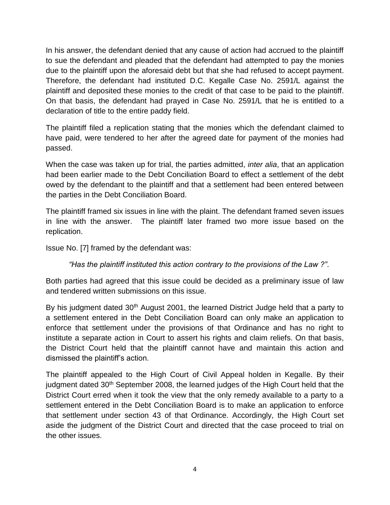In his answer, the defendant denied that any cause of action had accrued to the plaintiff to sue the defendant and pleaded that the defendant had attempted to pay the monies due to the plaintiff upon the aforesaid debt but that she had refused to accept payment. Therefore, the defendant had instituted D.C. Kegalle Case No. 2591/L against the plaintiff and deposited these monies to the credit of that case to be paid to the plaintiff. On that basis, the defendant had prayed in Case No. 2591/L that he is entitled to a declaration of title to the entire paddy field.

The plaintiff filed a replication stating that the monies which the defendant claimed to have paid, were tendered to her after the agreed date for payment of the monies had passed.

When the case was taken up for trial, the parties admitted, *inter alia*, that an application had been earlier made to the Debt Conciliation Board to effect a settlement of the debt owed by the defendant to the plaintiff and that a settlement had been entered between the parties in the Debt Conciliation Board.

The plaintiff framed six issues in line with the plaint. The defendant framed seven issues in line with the answer. The plaintiff later framed two more issue based on the replication.

Issue No. [7] framed by the defendant was:

*"Has the plaintiff instituted this action contrary to the provisions of the Law ?"*.

Both parties had agreed that this issue could be decided as a preliminary issue of law and tendered written submissions on this issue.

By his judgment dated 30<sup>th</sup> August 2001, the learned District Judge held that a party to a settlement entered in the Debt Conciliation Board can only make an application to enforce that settlement under the provisions of that Ordinance and has no right to institute a separate action in Court to assert his rights and claim reliefs. On that basis, the District Court held that the plaintiff cannot have and maintain this action and dismissed the plaintiff's action.

The plaintiff appealed to the High Court of Civil Appeal holden in Kegalle. By their judgment dated 30th September 2008, the learned judges of the High Court held that the District Court erred when it took the view that the only remedy available to a party to a settlement entered in the Debt Conciliation Board is to make an application to enforce that settlement under section 43 of that Ordinance. Accordingly, the High Court set aside the judgment of the District Court and directed that the case proceed to trial on the other issues.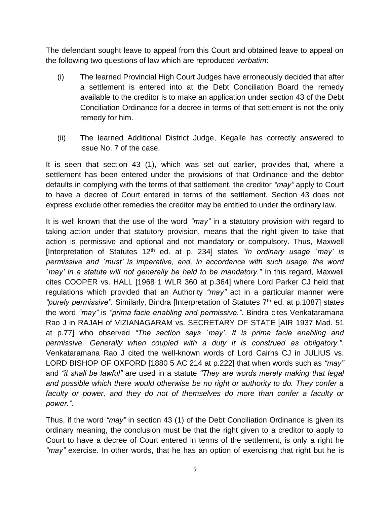The defendant sought leave to appeal from this Court and obtained leave to appeal on the following two questions of law which are reproduced *verbatim*:

- (i) The learned Provincial High Court Judges have erroneously decided that after a settlement is entered into at the Debt Conciliation Board the remedy available to the creditor is to make an application under section 43 of the Debt Conciliation Ordinance for a decree in terms of that settlement is not the only remedy for him.
- (ii) The learned Additional District Judge, Kegalle has correctly answered to issue No. 7 of the case.

It is seen that section 43 (1), which was set out earlier, provides that, where a settlement has been entered under the provisions of that Ordinance and the debtor defaults in complying with the terms of that settlement, the creditor *"may"* apply to Court to have a decree of Court entered in terms of the settlement. Section 43 does not express exclude other remedies the creditor may be entitled to under the ordinary law.

It is well known that the use of the word *"may"* in a statutory provision with regard to taking action under that statutory provision, means that the right given to take that action is permissive and optional and not mandatory or compulsory. Thus, Maxwell [Interpretation of Statutes 12th ed. at p. 234] states *"In ordinary usage `may' is permissive and `must' is imperative, and, in accordance with such usage, the word `may' in a statute will not generally be held to be mandatory."* In this regard, Maxwell cites COOPER vs. HALL [1968 1 WLR 360 at p.364] where Lord Parker CJ held that regulations which provided that an Authority *"may"* act in a particular manner were "*purely permissive*". Similarly, Bindra [Interpretation of Statutes 7<sup>th</sup> ed. at p.1087] states the word *"may"* is *"prima facie enabling and permissive."*. Bindra cites Venkataramana Rao J in RAJAH of VIZIANAGARAM vs. SECRETARY OF STATE [AIR 1937 Mad. 51 at p.77] who observed *"The section says `may'. It is prima facie enabling and permissive. Generally when coupled with a duty it is construed as obligatory."*. Venkataramana Rao J cited the well-known words of Lord Cairns CJ in JULIUS vs. LORD BISHOP OF OXFORD [1880 5 AC 214 at p.222] that when words such as *"may"*  and *"it shall be lawful"* are used in a statute *"They are words merely making that legal and possible which there would otherwise be no right or authority to do. They confer a*  faculty or power, and they do not of themselves do more than confer a faculty or *power."*.

Thus, if the word *"may"* in section 43 (1) of the Debt Conciliation Ordinance is given its ordinary meaning, the conclusion must be that the right given to a creditor to apply to Court to have a decree of Court entered in terms of the settlement, is only a right he *"may"* exercise. In other words, that he has an option of exercising that right but he is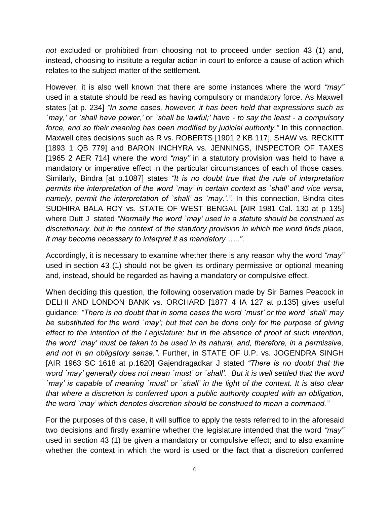*not* excluded or prohibited from choosing not to proceed under section 43 (1) and, instead, choosing to institute a regular action in court to enforce a cause of action which relates to the subject matter of the settlement.

However, it is also well known that there are some instances where the word *"may"* used in a statute should be read as having compulsory or mandatory force. As Maxwell states [at p. 234] *"In some cases, however, it has been held that expressions such as `may,' or `shall have power,'* or *`shall be lawful;' have - to say the least - a compulsory force, and so their meaning has been modified by judicial authority."* In this connection, Maxwell cites decisions such as R vs. ROBERTS [1901 2 KB 117], SHAW vs. RECKITT [1893 1 QB 779] and BARON INCHYRA vs. JENNINGS, INSPECTOR OF TAXES [1965 2 AER 714] where the word *"may"* in a statutory provision was held to have a mandatory or imperative effect in the particular circumstances of each of those cases. Similarly, Bindra [at p.1087] states *"It is no doubt true that the rule of interpretation permits the interpretation of the word `may' in certain context as `shall' and vice versa, namely, permit the interpretation of `shall' as `may.'."*. In this connection, Bindra cites SUDHIRA BALA ROY vs. STATE OF WEST BENGAL [AIR 1981 Cal. 130 at p 135] where Dutt J stated *"Normally the word `may' used in a statute should be construed as discretionary, but in the context of the statutory provision in which the word finds place, it may become necessary to interpret it as mandatory ….."*.

Accordingly, it is necessary to examine whether there is any reason why the word *"may"* used in section 43 (1) should not be given its ordinary permissive or optional meaning and, instead, should be regarded as having a mandatory or compulsive effect.

When deciding this question, the following observation made by Sir Barnes Peacock in DELHI AND LONDON BANK vs. ORCHARD [1877 4 IA 127 at p.135] gives useful guidance: *"There is no doubt that in some cases the word `must' or the word `shall' may be substituted for the word `may'; but that can be done only for the purpose of giving effect to the intention of the Legislature; but in the absence of proof of such intention, the word `may' must be taken to be used in its natural, and, therefore, in a permissive, and not in an obligatory sense."*. Further, in STATE OF U.P. vs. JOGENDRA SINGH [AIR 1963 SC 1618 at p.1620] Gajendragadkar J stated *"There is no doubt that the word `may' generally does not mean `must' or `shall'. But it is well settled that the word `may' is capable of meaning `must' or `shall' in the light of the context. It is also clear that where a discretion is conferred upon a public authority coupled with an obligation, the word `may' which denotes discretion should be construed to mean a command."*

For the purposes of this case, it will suffice to apply the tests referred to in the aforesaid two decisions and firstly examine whether the legislature intended that the word *"may"* used in section 43 (1) be given a mandatory or compulsive effect; and to also examine whether the context in which the word is used or the fact that a discretion conferred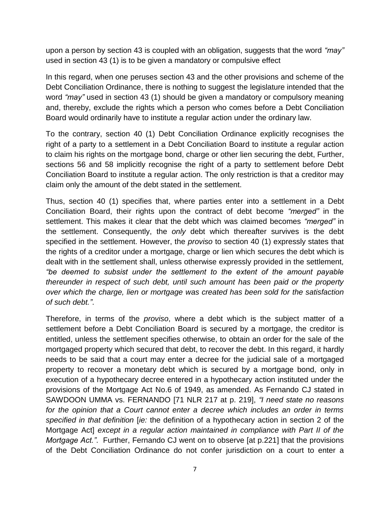upon a person by section 43 is coupled with an obligation, suggests that the word *"may"* used in section 43 (1) is to be given a mandatory or compulsive effect

In this regard, when one peruses section 43 and the other provisions and scheme of the Debt Conciliation Ordinance, there is nothing to suggest the legislature intended that the word *"may"* used in section 43 (1) should be given a mandatory or compulsory meaning and, thereby, exclude the rights which a person who comes before a Debt Conciliation Board would ordinarily have to institute a regular action under the ordinary law.

To the contrary, section 40 (1) Debt Conciliation Ordinance explicitly recognises the right of a party to a settlement in a Debt Conciliation Board to institute a regular action to claim his rights on the mortgage bond, charge or other lien securing the debt, Further, sections 56 and 58 implicitly recognise the right of a party to settlement before Debt Conciliation Board to institute a regular action. The only restriction is that a creditor may claim only the amount of the debt stated in the settlement.

Thus, section 40 (1) specifies that, where parties enter into a settlement in a Debt Conciliation Board, their rights upon the contract of debt become *"merged"* in the settlement. This makes it clear that the debt which was claimed becomes *"merged"* in the settlement. Consequently, the *only* debt which thereafter survives is the debt specified in the settlement. However, the *proviso* to section 40 (1) expressly states that the rights of a creditor under a mortgage, charge or lien which secures the debt which is dealt with in the settlement shall, unless otherwise expressly provided in the settlement*, "be deemed to subsist under the settlement to the extent of the amount payable thereunder in respect of such debt, until such amount has been paid or the property over which the charge, lien or mortgage was created has been sold for the satisfaction of such debt."*.

Therefore, in terms of the *proviso*, where a debt which is the subject matter of a settlement before a Debt Conciliation Board is secured by a mortgage, the creditor is entitled, unless the settlement specifies otherwise, to obtain an order for the sale of the mortgaged property which secured that debt, to recover the debt. In this regard, it hardly needs to be said that a court may enter a decree for the judicial sale of a mortgaged property to recover a monetary debt which is secured by a mortgage bond, only in execution of a hypothecary decree entered in a hypothecary action instituted under the provisions of the Mortgage Act No.6 of 1949, as amended. As Fernando CJ stated in SAWDOON UMMA vs. FERNANDO [71 NLR 217 at p. 219], *"I need state no reasons for the opinion that a Court cannot enter a decree which includes an order in terms specified in that definition* [*ie:* the definition of a hypothecary action in section 2 of the Mortgage Act] *except in a regular action maintained in compliance with Part II of the Mortgage Act."*. Further, Fernando CJ went on to observe [at p.221] that the provisions of the Debt Conciliation Ordinance do not confer jurisdiction on a court to enter a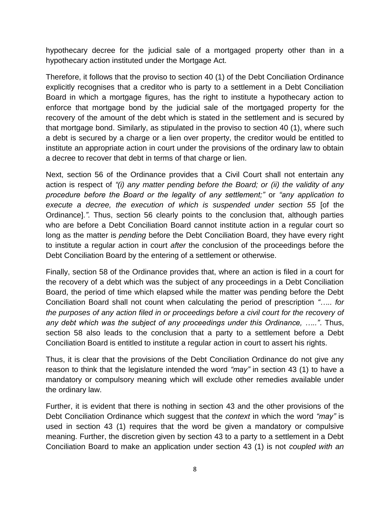hypothecary decree for the judicial sale of a mortgaged property other than in a hypothecary action instituted under the Mortgage Act.

Therefore, it follows that the proviso to section 40 (1) of the Debt Conciliation Ordinance explicitly recognises that a creditor who is party to a settlement in a Debt Conciliation Board in which a mortgage figures, has the right to institute a hypothecary action to enforce that mortgage bond by the judicial sale of the mortgaged property for the recovery of the amount of the debt which is stated in the settlement and is secured by that mortgage bond. Similarly, as stipulated in the proviso to section 40 (1), where such a debt is secured by a charge or a lien over property, the creditor would be entitled to institute an appropriate action in court under the provisions of the ordinary law to obtain a decree to recover that debt in terms of that charge or lien.

Next, section 56 of the Ordinance provides that a Civil Court shall not entertain any action is respect of *"(i) any matter pending before the Board; or (ii) the validity of any procedure before the Board or the legality of any settlement;"* or *"any application to execute a decree, the execution of which is suspended under section 55* [of the Ordinance]*."*. Thus, section 56 clearly points to the conclusion that, although parties who are before a Debt Conciliation Board cannot institute action in a regular court so long as the matter is *pending* before the Debt Conciliation Board, they have every right to institute a regular action in court *after* the conclusion of the proceedings before the Debt Conciliation Board by the entering of a settlement or otherwise.

Finally, section 58 of the Ordinance provides that, where an action is filed in a court for the recovery of a debt which was the subject of any proceedings in a Debt Conciliation Board, the period of time which elapsed while the matter was pending before the Debt Conciliation Board shall not count when calculating the period of prescription *"….. for the purposes of any action filed in or proceedings before a civil court for the recovery of any debt which was the subject of any proceedings under this Ordinance, ….."*. Thus, section 58 also leads to the conclusion that a party to a settlement before a Debt Conciliation Board is entitled to institute a regular action in court to assert his rights.

Thus, it is clear that the provisions of the Debt Conciliation Ordinance do not give any reason to think that the legislature intended the word *"may"* in section 43 (1) to have a mandatory or compulsory meaning which will exclude other remedies available under the ordinary law.

Further, it is evident that there is nothing in section 43 and the other provisions of the Debt Conciliation Ordinance which suggest that the *context* in which the word *"may"* is used in section 43 (1) requires that the word be given a mandatory or compulsive meaning. Further, the discretion given by section 43 to a party to a settlement in a Debt Conciliation Board to make an application under section 43 (1) is not *coupled with an*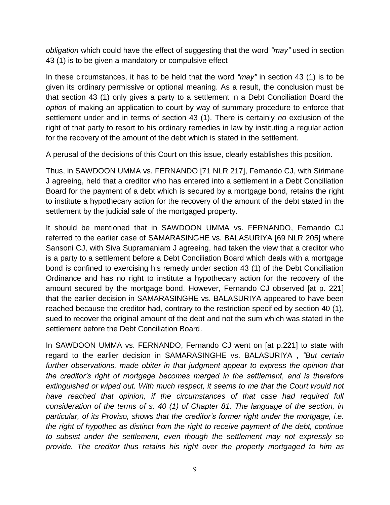*obligation* which could have the effect of suggesting that the word *"may"* used in section 43 (1) is to be given a mandatory or compulsive effect

In these circumstances, it has to be held that the word *"may"* in section 43 (1) is to be given its ordinary permissive or optional meaning. As a result, the conclusion must be that section 43 (1) only gives a party to a settlement in a Debt Conciliation Board the *option* of making an application to court by way of summary procedure to enforce that settlement under and in terms of section 43 (1). There is certainly *no* exclusion of the right of that party to resort to his ordinary remedies in law by instituting a regular action for the recovery of the amount of the debt which is stated in the settlement.

A perusal of the decisions of this Court on this issue, clearly establishes this position.

Thus, in SAWDOON UMMA vs. FERNANDO [71 NLR 217], Fernando CJ, with Sirimane J agreeing, held that a creditor who has entered into a settlement in a Debt Conciliation Board for the payment of a debt which is secured by a mortgage bond, retains the right to institute a hypothecary action for the recovery of the amount of the debt stated in the settlement by the judicial sale of the mortgaged property.

It should be mentioned that in SAWDOON UMMA vs. FERNANDO, Fernando CJ referred to the earlier case of SAMARASINGHE vs. BALASURIYA [69 NLR 205] where Sansoni CJ, with Siva Supramaniam J agreeing, had taken the view that a creditor who is a party to a settlement before a Debt Conciliation Board which deals with a mortgage bond is confined to exercising his remedy under section 43 (1) of the Debt Conciliation Ordinance and has no right to institute a hypothecary action for the recovery of the amount secured by the mortgage bond. However, Fernando CJ observed [at p. 221] that the earlier decision in SAMARASINGHE vs. BALASURIYA appeared to have been reached because the creditor had, contrary to the restriction specified by section 40 (1), sued to recover the original amount of the debt and not the sum which was stated in the settlement before the Debt Conciliation Board.

In SAWDOON UMMA vs. FERNANDO, Fernando CJ went on [at p.221] to state with regard to the earlier decision in SAMARASINGHE vs. BALASURIYA , *"But certain further observations, made obiter in that judgment appear to express the opinion that the creditor's right of mortgage becomes merged in the settlement, and is therefore*  extinguished or wiped out. With much respect, it seems to me that the Court would not have reached that opinion, if the circumstances of that case had required full *consideration of the terms of s. 40 (1) of Chapter 81. The language of the section, in particular, of its Proviso, shows that the creditor's former right under the mortgage, i.e. the right of hypothec as distinct from the right to receive payment of the debt, continue to subsist under the settlement, even though the settlement may not expressly so provide. The creditor thus retains his right over the property mortgaged to him as*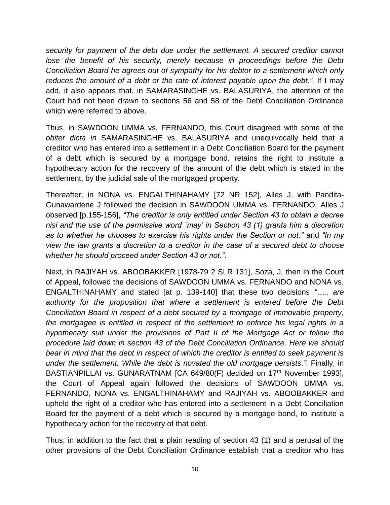*security for payment of the debt due under the settlement. A secured creditor cannot*  lose the benefit of his security, merely because in proceedings before the Debt *Conciliation Board he agrees out of sympathy for his debtor to a settlement which only reduces the amount of a debt or the rate of interest payable upon the debt."*. If I may add, it also appears that, in SAMARASINGHE vs. BALASURIYA, the attention of the Court had not been drawn to sections 56 and 58 of the Debt Conciliation Ordinance which were referred to above.

Thus, in SAWDOON UMMA vs. FERNANDO, this Court disagreed with some of the *obiter dicta in* SAMARASINGHE vs. BALASURIYA and unequivocally held that a creditor who has entered into a settlement in a Debt Conciliation Board for the payment of a debt which is secured by a mortgage bond, retains the right to institute a hypothecary action for the recovery of the amount of the debt which is stated in the settlement, by the judicial sale of the mortgaged property.

Thereafter, in NONA vs. ENGALTHINAHAMY [72 NR 152], Alles J, with Pandita-Gunawardene J followed the decision in SAWDOON UMMA vs. FERNANDO. Alles J observed [p.155-156], *"The creditor is only entitled under Section 43 to obtain a decree nisi and the use of the permissive word `may' in Section 43 (1) grants him a discretion as to whether he chooses to exercise his rights under the Section or not."* and *"In my view the law grants a discretion to a creditor in the case of a secured debt to choose whether he should proceed under Section 43 or not."*.

Next, in RAJIYAH vs. ABOOBAKKER [1978-79 2 SLR 131], Soza, J, then in the Court of Appeal, followed the decisions of SAWDOON UMMA vs. FERNANDO and NONA vs. ENGALTHINAHAMY and stated [at p. 139-140] that these two decisions *"….. are authority for the proposition that where a settlement is entered before the Debt Conciliation Board in respect of a debt secured by a mortgage of immovable property, the mortgagee is entitled in respect of the settlement to enforce his legal rights in a hypothecary suit under the provisions of Part II of the Mortgage Act or follow the procedure laid down in section 43 of the Debt Conciliation Ordinance. Here we should bear in mind that the debt in respect of which the creditor is entitled to seek payment is under the settlement. While the debt is novated the old mortgage persists."*. Finally, in BASTIANPILLAI vs. GUNARATNAM [CA 649/80(F) decided on 17<sup>th</sup> November 1993], the Court of Appeal again followed the decisions of SAWDOON UMMA vs. FERNANDO, NONA vs. ENGALTHINAHAMY and RAJIYAH vs. ABOOBAKKER and upheld the right of a creditor who has entered into a settlement in a Debt Conciliation Board for the payment of a debt which is secured by a mortgage bond, to institute a hypothecary action for the recovery of that debt.

Thus, in addition to the fact that a plain reading of section 43 (1) and a perusal of the other provisions of the Debt Conciliation Ordinance establish that a creditor who has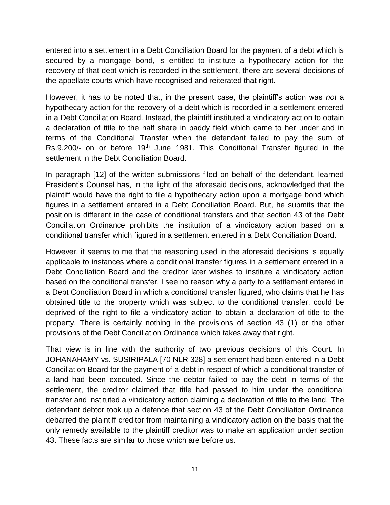entered into a settlement in a Debt Conciliation Board for the payment of a debt which is secured by a mortgage bond, is entitled to institute a hypothecary action for the recovery of that debt which is recorded in the settlement, there are several decisions of the appellate courts which have recognised and reiterated that right.

However, it has to be noted that, in the present case, the plaintiff's action was *not* a hypothecary action for the recovery of a debt which is recorded in a settlement entered in a Debt Conciliation Board. Instead, the plaintiff instituted a vindicatory action to obtain a declaration of title to the half share in paddy field which came to her under and in terms of the Conditional Transfer when the defendant failed to pay the sum of Rs.9,200/- on or before 19<sup>th</sup> June 1981. This Conditional Transfer figured in the settlement in the Debt Conciliation Board.

In paragraph [12] of the written submissions filed on behalf of the defendant, learned President's Counsel has, in the light of the aforesaid decisions, acknowledged that the plaintiff would have the right to file a hypothecary action upon a mortgage bond which figures in a settlement entered in a Debt Conciliation Board. But, he submits that the position is different in the case of conditional transfers and that section 43 of the Debt Conciliation Ordinance prohibits the institution of a vindicatory action based on a conditional transfer which figured in a settlement entered in a Debt Conciliation Board.

However, it seems to me that the reasoning used in the aforesaid decisions is equally applicable to instances where a conditional transfer figures in a settlement entered in a Debt Conciliation Board and the creditor later wishes to institute a vindicatory action based on the conditional transfer. I see no reason why a party to a settlement entered in a Debt Conciliation Board in which a conditional transfer figured, who claims that he has obtained title to the property which was subject to the conditional transfer, could be deprived of the right to file a vindicatory action to obtain a declaration of title to the property. There is certainly nothing in the provisions of section 43 (1) or the other provisions of the Debt Conciliation Ordinance which takes away that right.

That view is in line with the authority of two previous decisions of this Court. In JOHANAHAMY vs. SUSIRIPALA [70 NLR 328] a settlement had been entered in a Debt Conciliation Board for the payment of a debt in respect of which a conditional transfer of a land had been executed. Since the debtor failed to pay the debt in terms of the settlement, the creditor claimed that title had passed to him under the conditional transfer and instituted a vindicatory action claiming a declaration of title to the land. The defendant debtor took up a defence that section 43 of the Debt Conciliation Ordinance debarred the plaintiff creditor from maintaining a vindicatory action on the basis that the only remedy available to the plaintiff creditor was to make an application under section 43. These facts are similar to those which are before us.